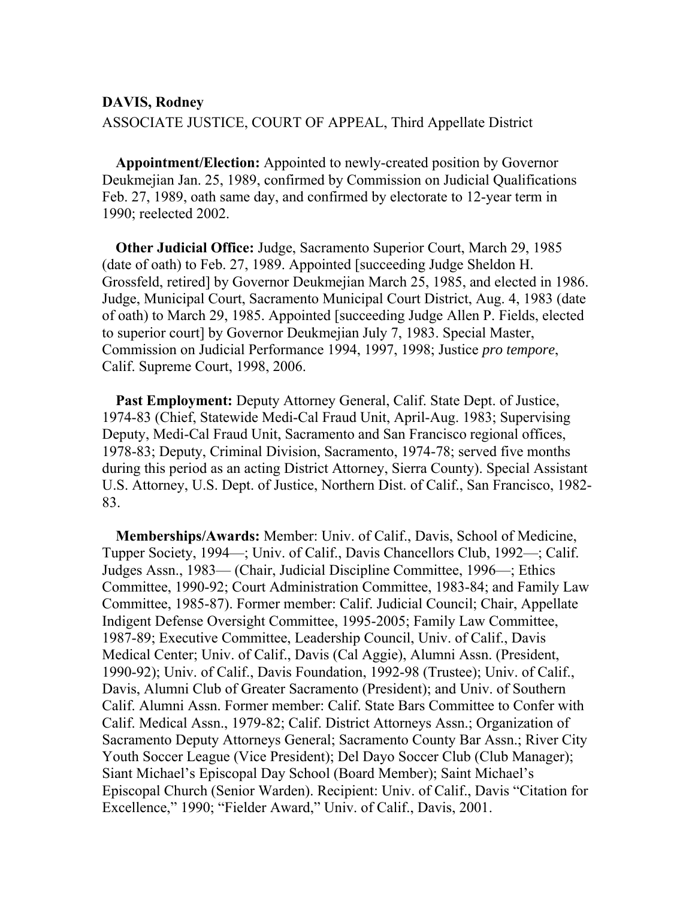## **DAVIS, Rodney**  ASSOCIATE JUSTICE, COURT OF APPEAL, Third Appellate District

**Appointment/Election:** Appointed to newly-created position by Governor Deukmejian Jan. 25, 1989, confirmed by Commission on Judicial Qualifications Feb. 27, 1989, oath same day, and confirmed by electorate to 12-year term in 1990; reelected 2002.

**Other Judicial Office:** Judge, Sacramento Superior Court, March 29, 1985 (date of oath) to Feb. 27, 1989. Appointed [succeeding Judge Sheldon H. Grossfeld, retired] by Governor Deukmejian March 25, 1985, and elected in 1986. Judge, Municipal Court, Sacramento Municipal Court District, Aug. 4, 1983 (date of oath) to March 29, 1985. Appointed [succeeding Judge Allen P. Fields, elected to superior court] by Governor Deukmejian July 7, 1983. Special Master, Commission on Judicial Performance 1994, 1997, 1998; Justice *pro tempore*, Calif. Supreme Court, 1998, 2006.

**Past Employment:** Deputy Attorney General, Calif. State Dept. of Justice, 1974-83 (Chief, Statewide Medi-Cal Fraud Unit, April-Aug. 1983; Supervising Deputy, Medi-Cal Fraud Unit, Sacramento and San Francisco regional offices, 1978-83; Deputy, Criminal Division, Sacramento, 1974-78; served five months during this period as an acting District Attorney, Sierra County). Special Assistant U.S. Attorney, U.S. Dept. of Justice, Northern Dist. of Calif., San Francisco, 1982- 83.

**Memberships/Awards:** Member: Univ. of Calif., Davis, School of Medicine, Tupper Society, 1994—; Univ. of Calif., Davis Chancellors Club, 1992—; Calif. Judges Assn., 1983— (Chair, Judicial Discipline Committee, 1996—; Ethics Committee, 1990-92; Court Administration Committee, 1983-84; and Family Law Committee, 1985-87). Former member: Calif. Judicial Council; Chair, Appellate Indigent Defense Oversight Committee, 1995-2005; Family Law Committee, 1987-89; Executive Committee, Leadership Council, Univ. of Calif., Davis Medical Center; Univ. of Calif., Davis (Cal Aggie), Alumni Assn. (President, 1990-92); Univ. of Calif., Davis Foundation, 1992-98 (Trustee); Univ. of Calif., Davis, Alumni Club of Greater Sacramento (President); and Univ. of Southern Calif. Alumni Assn. Former member: Calif. State Bars Committee to Confer with Calif. Medical Assn., 1979-82; Calif. District Attorneys Assn.; Organization of Sacramento Deputy Attorneys General; Sacramento County Bar Assn.; River City Youth Soccer League (Vice President); Del Dayo Soccer Club (Club Manager); Siant Michael's Episcopal Day School (Board Member); Saint Michael's Episcopal Church (Senior Warden). Recipient: Univ. of Calif., Davis "Citation for Excellence," 1990; "Fielder Award," Univ. of Calif., Davis, 2001.